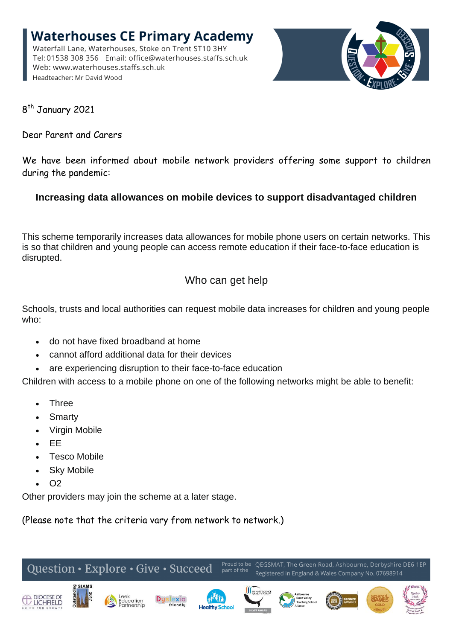**Waterhouses CE Primary Academy** Waterfall Lane, Waterhouses, Stoke on Trent ST10 3HY Tel: 01538 308 356 Email: office@waterhouses.staffs.sch.uk Web: www.waterhouses.staffs.sch.uk Headteacher: Mr David Wood



8<sup>th</sup> January 2021

Dear Parent and Carers

We have been informed about mobile network providers offering some support to children during the pandemic:

## **Increasing data allowances on mobile devices to support disadvantaged children**

This scheme temporarily increases data allowances for mobile phone users on certain networks. This is so that children and young people can access remote education if their face-to-face education is disrupted.

## Who can get help

Schools, trusts and local authorities can request mobile data increases for children and young people who:

- do not have fixed broadband at home
- cannot afford additional data for their devices
- are experiencing disruption to their face-to-face education

Children with access to a mobile phone on one of the following networks might be able to benefit:

- Three
- Smarty
- Virgin Mobile
- EE
- Tesco Mobile
- Sky Mobile
- $\bullet$  O<sub>2</sub>

Other providers may join the scheme at a later stage.

(Please note that the criteria vary from network to network.)